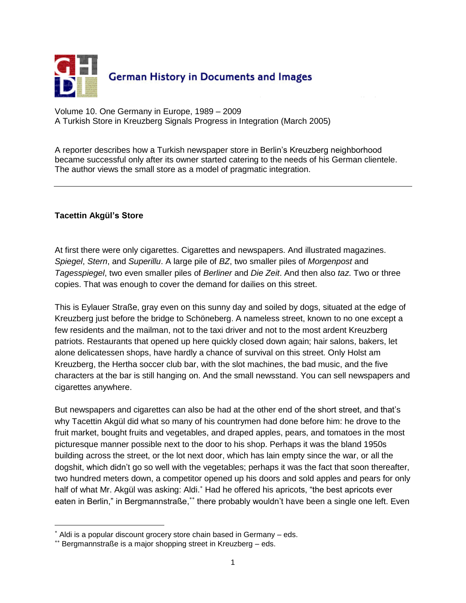

Volume 10. One Germany in Europe, 1989 – 2009 A Turkish Store in Kreuzberg Signals Progress in Integration (March 2005)

A reporter describes how a Turkish newspaper store in Berlin's Kreuzberg neighborhood became successful only after its owner started catering to the needs of his German clientele. The author views the small store as a model of pragmatic integration.

## **Tacettin Akgül's Store**

 $\overline{a}$ 

At first there were only cigarettes. Cigarettes and newspapers. And illustrated magazines. *Spiegel*, *Stern*, and *Superillu*. A large pile of *BZ*, two smaller piles of *Morgenpost* and *Tagesspiegel*, two even smaller piles of *Berliner* and *Die Zeit*. And then also *taz*. Two or three copies. That was enough to cover the demand for dailies on this street.

This is Eylauer Straße, gray even on this sunny day and soiled by dogs, situated at the edge of Kreuzberg just before the bridge to Schöneberg. A nameless street, known to no one except a few residents and the mailman, not to the taxi driver and not to the most ardent Kreuzberg patriots. Restaurants that opened up here quickly closed down again; hair salons, bakers, let alone delicatessen shops, have hardly a chance of survival on this street. Only Holst am Kreuzberg, the Hertha soccer club bar, with the slot machines, the bad music, and the five characters at the bar is still hanging on. And the small newsstand. You can sell newspapers and cigarettes anywhere.

But newspapers and cigarettes can also be had at the other end of the short street, and that's why Tacettin Akgül did what so many of his countrymen had done before him: he drove to the fruit market, bought fruits and vegetables, and draped apples, pears, and tomatoes in the most picturesque manner possible next to the door to his shop. Perhaps it was the bland 1950s building across the street, or the lot next door, which has lain empty since the war, or all the dogshit, which didn't go so well with the vegetables; perhaps it was the fact that soon thereafter, two hundred meters down, a competitor opened up his doors and sold apples and pears for only half of what Mr. Akgül was asking: Aldi.<sup>\*</sup> Had he offered his apricots, "the best apricots ever eaten in Berlin," in Bergmannstraße,\*\* there probably wouldn't have been a single one left. Even

Aldi is a popular discount grocery store chain based in Germany – eds.

<sup>\*\*</sup> Bergmannstraße is a major shopping street in Kreuzberg - eds.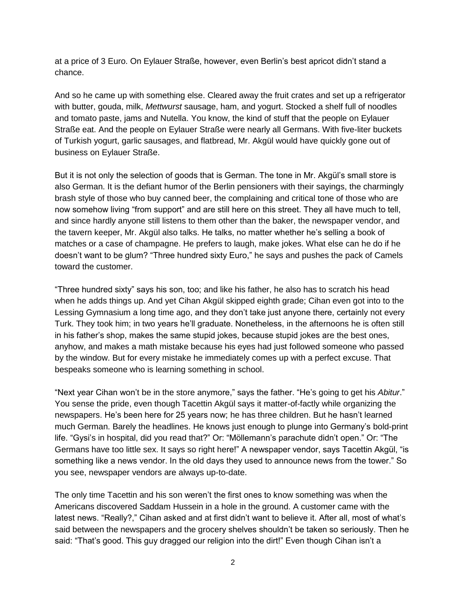at a price of 3 Euro. On Eylauer Straße, however, even Berlin's best apricot didn't stand a chance.

And so he came up with something else. Cleared away the fruit crates and set up a refrigerator with butter, gouda, milk, *Mettwurst* sausage, ham, and yogurt. Stocked a shelf full of noodles and tomato paste, jams and Nutella. You know, the kind of stuff that the people on Eylauer Straße eat. And the people on Eylauer Straße were nearly all Germans. With five-liter buckets of Turkish yogurt, garlic sausages, and flatbread, Mr. Akgül would have quickly gone out of business on Eylauer Straße.

But it is not only the selection of goods that is German. The tone in Mr. Akgül's small store is also German. It is the defiant humor of the Berlin pensioners with their sayings, the charmingly brash style of those who buy canned beer, the complaining and critical tone of those who are now somehow living "from support" and are still here on this street. They all have much to tell, and since hardly anyone still listens to them other than the baker, the newspaper vendor, and the tavern keeper, Mr. Akgül also talks. He talks, no matter whether he's selling a book of matches or a case of champagne. He prefers to laugh, make jokes. What else can he do if he doesn't want to be glum? "Three hundred sixty Euro," he says and pushes the pack of Camels toward the customer.

"Three hundred sixty" says his son, too; and like his father, he also has to scratch his head when he adds things up. And yet Cihan Akgül skipped eighth grade; Cihan even got into to the Lessing Gymnasium a long time ago, and they don't take just anyone there, certainly not every Turk. They took him; in two years he'll graduate. Nonetheless, in the afternoons he is often still in his father's shop, makes the same stupid jokes, because stupid jokes are the best ones, anyhow, and makes a math mistake because his eyes had just followed someone who passed by the window. But for every mistake he immediately comes up with a perfect excuse. That bespeaks someone who is learning something in school.

"Next year Cihan won't be in the store anymore," says the father. "He's going to get his *Abitur*." You sense the pride, even though Tacettin Akgül says it matter-of-factly while organizing the newspapers. He's been here for 25 years now; he has three children. But he hasn't learned much German. Barely the headlines. He knows just enough to plunge into Germany's bold-print life. "Gysi's in hospital, did you read that?" Or: "Möllemann's parachute didn't open." Or: "The Germans have too little sex. It says so right here!" A newspaper vendor, says Tacettin Akgül, "is something like a news vendor. In the old days they used to announce news from the tower." So you see, newspaper vendors are always up-to-date.

The only time Tacettin and his son weren't the first ones to know something was when the Americans discovered Saddam Hussein in a hole in the ground. A customer came with the latest news. "Really?," Cihan asked and at first didn't want to believe it. After all, most of what's said between the newspapers and the grocery shelves shouldn't be taken so seriously. Then he said: "That's good. This guy dragged our religion into the dirt!" Even though Cihan isn't a